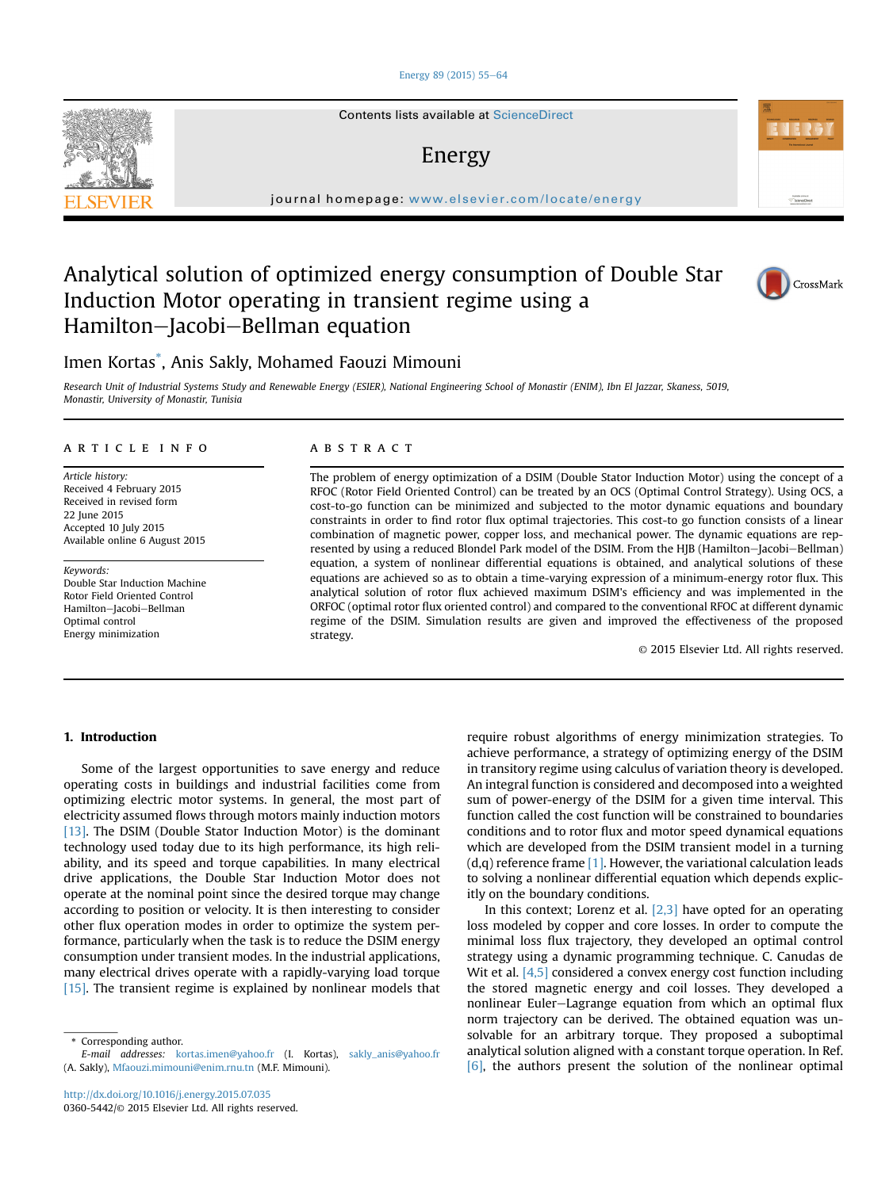#### [Energy 89 \(2015\) 55](http://dx.doi.org/10.1016/j.energy.2015.07.035)-[64](http://dx.doi.org/10.1016/j.energy.2015.07.035)

Contents lists available at ScienceDirect

## Energy

journal homepage: [www.elsevier.com/locate/energy](http://www.elsevier.com/locate/energy)

## Analytical solution of optimized energy consumption of Double Star Induction Motor operating in transient regime using a Hamilton-Jacobi-Bellman equation



Antibiotics in<br>ScienceDire

## Imen Kortas\* , Anis Sakly, Mohamed Faouzi Mimouni

Research Unit of Industrial Systems Study and Renewable Energy (ESIER), National Engineering School of Monastir (ENIM), Ibn El Jazzar, Skaness, 5019, Monastir, University of Monastir, Tunisia

#### article info

Article history: Received 4 February 2015 Received in revised form 22 June 2015 Accepted 10 July 2015 Available online 6 August 2015

Keywords: Double Star Induction Machine Rotor Field Oriented Control Hamilton-Jacobi-Bellman Optimal control Energy minimization

### ABSTRACT

The problem of energy optimization of a DSIM (Double Stator Induction Motor) using the concept of a RFOC (Rotor Field Oriented Control) can be treated by an OCS (Optimal Control Strategy). Using OCS, a cost-to-go function can be minimized and subjected to the motor dynamic equations and boundary constraints in order to find rotor flux optimal trajectories. This cost-to go function consists of a linear combination of magnetic power, copper loss, and mechanical power. The dynamic equations are represented by using a reduced Blondel Park model of the DSIM. From the HJB (Hamilton-Jacobi-Bellman) equation, a system of nonlinear differential equations is obtained, and analytical solutions of these equations are achieved so as to obtain a time-varying expression of a minimum-energy rotor flux. This analytical solution of rotor flux achieved maximum DSIM's efficiency and was implemented in the ORFOC (optimal rotor flux oriented control) and compared to the conventional RFOC at different dynamic regime of the DSIM. Simulation results are given and improved the effectiveness of the proposed strategy.

© 2015 Elsevier Ltd. All rights reserved.

#### 1. Introduction

Some of the largest opportunities to save energy and reduce operating costs in buildings and industrial facilities come from optimizing electric motor systems. In general, the most part of electricity assumed flows through motors mainly induction motors [13]. The DSIM (Double Stator Induction Motor) is the dominant technology used today due to its high performance, its high reliability, and its speed and torque capabilities. In many electrical drive applications, the Double Star Induction Motor does not operate at the nominal point since the desired torque may change according to position or velocity. It is then interesting to consider other flux operation modes in order to optimize the system performance, particularly when the task is to reduce the DSIM energy consumption under transient modes. In the industrial applications, many electrical drives operate with a rapidly-varying load torque [15]. The transient regime is explained by nonlinear models that

require robust algorithms of energy minimization strategies. To achieve performance, a strategy of optimizing energy of the DSIM in transitory regime using calculus of variation theory is developed. An integral function is considered and decomposed into a weighted sum of power-energy of the DSIM for a given time interval. This function called the cost function will be constrained to boundaries conditions and to rotor flux and motor speed dynamical equations which are developed from the DSIM transient model in a turning  $(d,q)$  reference frame [1]. However, the variational calculation leads to solving a nonlinear differential equation which depends explicitly on the boundary conditions.

In this context; Lorenz et al.  $[2,3]$  have opted for an operating loss modeled by copper and core losses. In order to compute the minimal loss flux trajectory, they developed an optimal control strategy using a dynamic programming technique. C. Canudas de Wit et al. [4,5] considered a convex energy cost function including the stored magnetic energy and coil losses. They developed a nonlinear Euler-Lagrange equation from which an optimal flux norm trajectory can be derived. The obtained equation was unsolvable for an arbitrary torque. They proposed a suboptimal analytical solution aligned with a constant torque operation. In Ref. [6], the authors present the solution of the nonlinear optimal



<sup>\*</sup> Corresponding author.

E-mail addresses: [kortas.imen@yahoo.fr](mailto:kortas.imen@yahoo.fr) (I. Kortas), [sakly\\_anis@yahoo.fr](mailto:sakly_anis@yahoo.fr) (A. Sakly), [Mfaouzi.mimouni@enim.rnu.tn](mailto:Mfaouzi.mimouni@enim.rnu.tn) (M.F. Mimouni).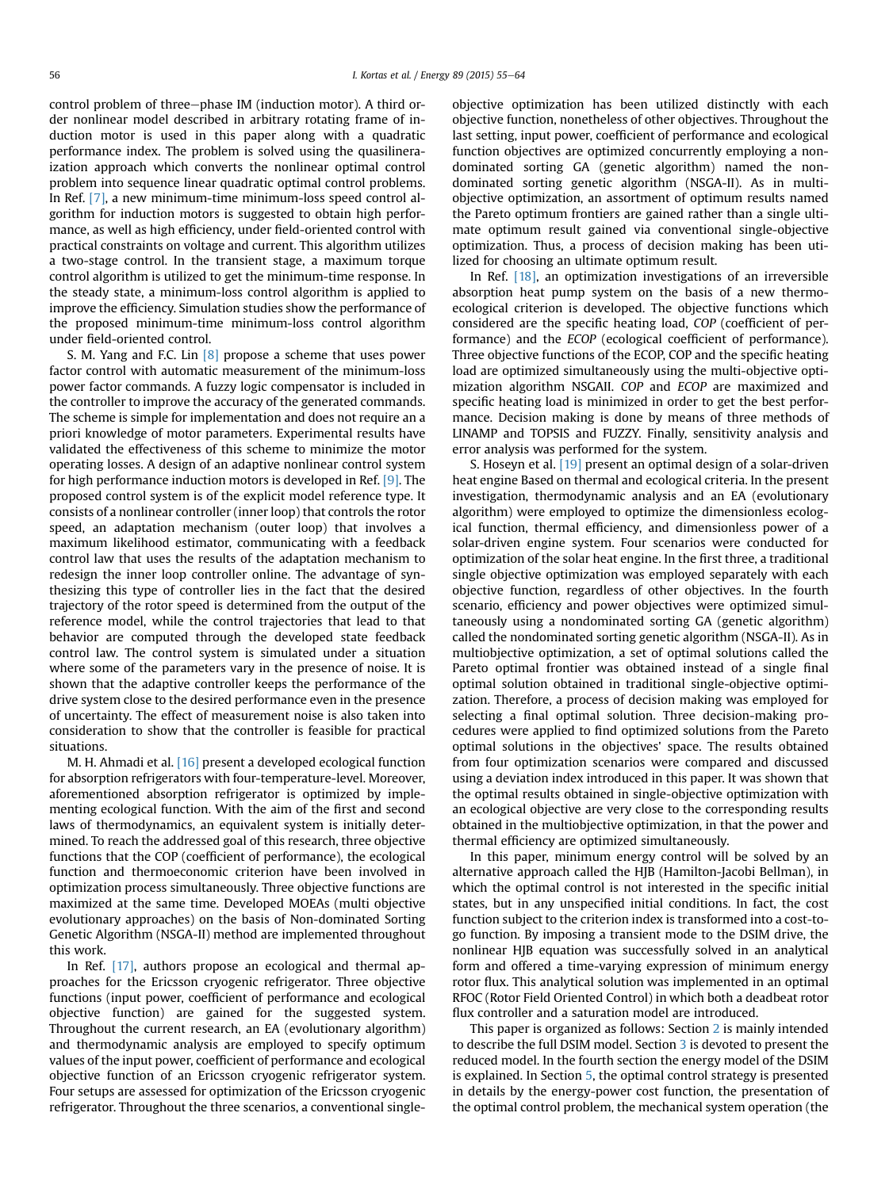control problem of three-phase IM (induction motor). A third order nonlinear model described in arbitrary rotating frame of induction motor is used in this paper along with a quadratic performance index. The problem is solved using the quasilineraization approach which converts the nonlinear optimal control problem into sequence linear quadratic optimal control problems. In Ref. [7], a new minimum-time minimum-loss speed control algorithm for induction motors is suggested to obtain high performance, as well as high efficiency, under field-oriented control with practical constraints on voltage and current. This algorithm utilizes a two-stage control. In the transient stage, a maximum torque control algorithm is utilized to get the minimum-time response. In the steady state, a minimum-loss control algorithm is applied to improve the efficiency. Simulation studies show the performance of the proposed minimum-time minimum-loss control algorithm under field-oriented control.

S. M. Yang and F.C. Lin  $\lceil 8 \rceil$  propose a scheme that uses power factor control with automatic measurement of the minimum-loss power factor commands. A fuzzy logic compensator is included in the controller to improve the accuracy of the generated commands. The scheme is simple for implementation and does not require an a priori knowledge of motor parameters. Experimental results have validated the effectiveness of this scheme to minimize the motor operating losses. A design of an adaptive nonlinear control system for high performance induction motors is developed in Ref. [9]. The proposed control system is of the explicit model reference type. It consists of a nonlinear controller (inner loop) that controls the rotor speed, an adaptation mechanism (outer loop) that involves a maximum likelihood estimator, communicating with a feedback control law that uses the results of the adaptation mechanism to redesign the inner loop controller online. The advantage of synthesizing this type of controller lies in the fact that the desired trajectory of the rotor speed is determined from the output of the reference model, while the control trajectories that lead to that behavior are computed through the developed state feedback control law. The control system is simulated under a situation where some of the parameters vary in the presence of noise. It is shown that the adaptive controller keeps the performance of the drive system close to the desired performance even in the presence of uncertainty. The effect of measurement noise is also taken into consideration to show that the controller is feasible for practical situations.

M. H. Ahmadi et al. [16] present a developed ecological function for absorption refrigerators with four-temperature-level. Moreover, aforementioned absorption refrigerator is optimized by implementing ecological function. With the aim of the first and second laws of thermodynamics, an equivalent system is initially determined. To reach the addressed goal of this research, three objective functions that the COP (coefficient of performance), the ecological function and thermoeconomic criterion have been involved in optimization process simultaneously. Three objective functions are maximized at the same time. Developed MOEAs (multi objective evolutionary approaches) on the basis of Non-dominated Sorting Genetic Algorithm (NSGA-II) method are implemented throughout this work.

In Ref. [17], authors propose an ecological and thermal approaches for the Ericsson cryogenic refrigerator. Three objective functions (input power, coefficient of performance and ecological objective function) are gained for the suggested system. Throughout the current research, an EA (evolutionary algorithm) and thermodynamic analysis are employed to specify optimum values of the input power, coefficient of performance and ecological objective function of an Ericsson cryogenic refrigerator system. Four setups are assessed for optimization of the Ericsson cryogenic refrigerator. Throughout the three scenarios, a conventional singleobjective optimization has been utilized distinctly with each objective function, nonetheless of other objectives. Throughout the last setting, input power, coefficient of performance and ecological function objectives are optimized concurrently employing a nondominated sorting GA (genetic algorithm) named the nondominated sorting genetic algorithm (NSGA-II). As in multiobjective optimization, an assortment of optimum results named the Pareto optimum frontiers are gained rather than a single ultimate optimum result gained via conventional single-objective optimization. Thus, a process of decision making has been utilized for choosing an ultimate optimum result.

In Ref. [18], an optimization investigations of an irreversible absorption heat pump system on the basis of a new thermoecological criterion is developed. The objective functions which considered are the specific heating load, COP (coefficient of performance) and the ECOP (ecological coefficient of performance). Three objective functions of the ECOP, COP and the specific heating load are optimized simultaneously using the multi-objective optimization algorithm NSGAII. COP and ECOP are maximized and specific heating load is minimized in order to get the best performance. Decision making is done by means of three methods of LINAMP and TOPSIS and FUZZY. Finally, sensitivity analysis and error analysis was performed for the system.

S. Hoseyn et al. [19] present an optimal design of a solar-driven heat engine Based on thermal and ecological criteria. In the present investigation, thermodynamic analysis and an EA (evolutionary algorithm) were employed to optimize the dimensionless ecological function, thermal efficiency, and dimensionless power of a solar-driven engine system. Four scenarios were conducted for optimization of the solar heat engine. In the first three, a traditional single objective optimization was employed separately with each objective function, regardless of other objectives. In the fourth scenario, efficiency and power objectives were optimized simultaneously using a nondominated sorting GA (genetic algorithm) called the nondominated sorting genetic algorithm (NSGA-II). As in multiobjective optimization, a set of optimal solutions called the Pareto optimal frontier was obtained instead of a single final optimal solution obtained in traditional single-objective optimization. Therefore, a process of decision making was employed for selecting a final optimal solution. Three decision-making procedures were applied to find optimized solutions from the Pareto optimal solutions in the objectives' space. The results obtained from four optimization scenarios were compared and discussed using a deviation index introduced in this paper. It was shown that the optimal results obtained in single-objective optimization with an ecological objective are very close to the corresponding results obtained in the multiobjective optimization, in that the power and thermal efficiency are optimized simultaneously.

In this paper, minimum energy control will be solved by an alternative approach called the HJB (Hamilton-Jacobi Bellman), in which the optimal control is not interested in the specific initial states, but in any unspecified initial conditions. In fact, the cost function subject to the criterion index is transformed into a cost-togo function. By imposing a transient mode to the DSIM drive, the nonlinear HJB equation was successfully solved in an analytical form and offered a time-varying expression of minimum energy rotor flux. This analytical solution was implemented in an optimal RFOC (Rotor Field Oriented Control) in which both a deadbeat rotor flux controller and a saturation model are introduced.

This paper is organized as follows: Section 2 is mainly intended to describe the full DSIM model. Section 3 is devoted to present the reduced model. In the fourth section the energy model of the DSIM is explained. In Section 5, the optimal control strategy is presented in details by the energy-power cost function, the presentation of the optimal control problem, the mechanical system operation (the